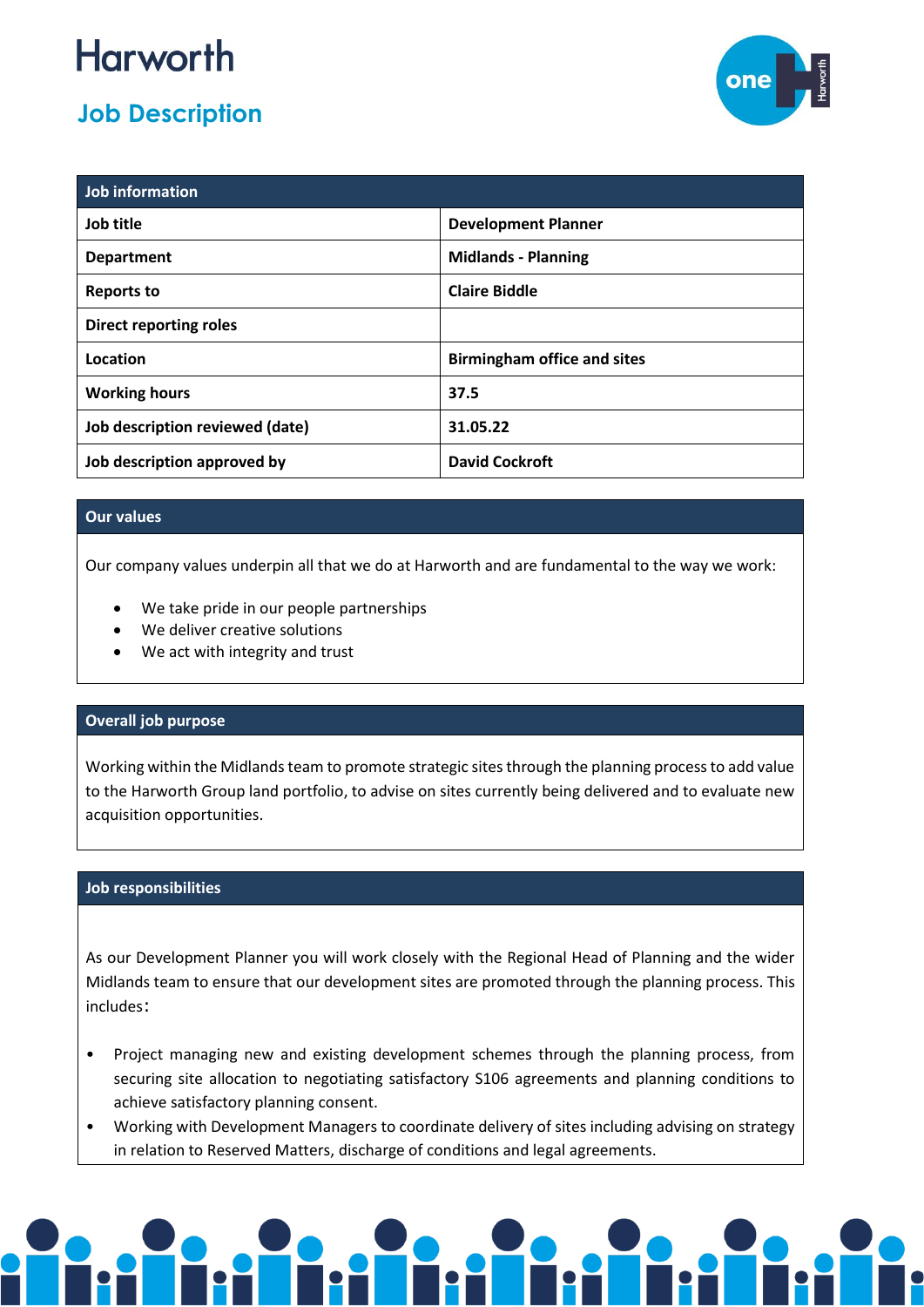## **Harworth**

### **Job Description**



| Job information                 |                                    |
|---------------------------------|------------------------------------|
| Job title                       | <b>Development Planner</b>         |
| <b>Department</b>               | <b>Midlands - Planning</b>         |
| Reports to                      | <b>Claire Biddle</b>               |
| <b>Direct reporting roles</b>   |                                    |
| Location                        | <b>Birmingham office and sites</b> |
| <b>Working hours</b>            | 37.5                               |
| Job description reviewed (date) | 31.05.22                           |
| Job description approved by     | <b>David Cockroft</b>              |

#### **Our values**

Our company values underpin all that we do at Harworth and are fundamental to the way we work:

- We take pride in our people partnerships
- We deliver creative solutions
- We act with integrity and trust

#### **Overall job purpose**

Working within the Midlands team to promote strategic sites through the planning process to add value to the Harworth Group land portfolio, to advise on sites currently being delivered and to evaluate new acquisition opportunities.

#### **Job responsibilities**

As our Development Planner you will work closely with the Regional Head of Planning and the wider Midlands team to ensure that our development sites are promoted through the planning process. This includes:

- Project managing new and existing development schemes through the planning process, from securing site allocation to negotiating satisfactory S106 agreements and planning conditions to achieve satisfactory planning consent.
- Working with Development Managers to coordinate delivery of sites including advising on strategy in relation to Reserved Matters, discharge of conditions and legal agreements.